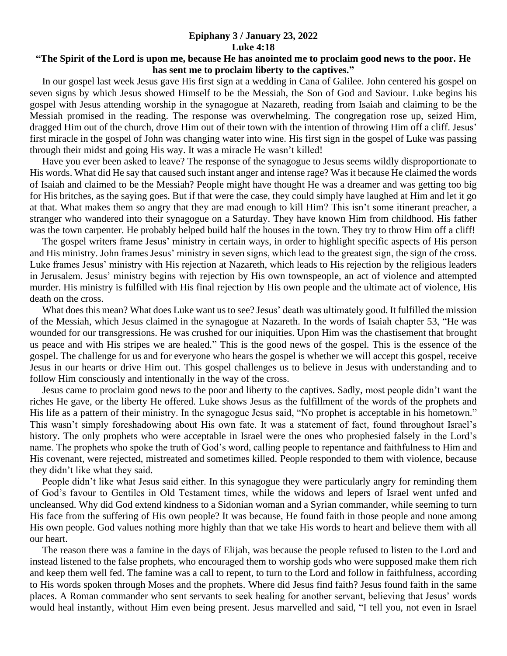## **Epiphany 3 / January 23, 2022 Luke 4:18**

## **"The Spirit of the Lord is upon me, because He has anointed me to proclaim good news to the poor. He has sent me to proclaim liberty to the captives."**

 In our gospel last week Jesus gave His first sign at a wedding in Cana of Galilee. John centered his gospel on seven signs by which Jesus showed Himself to be the Messiah, the Son of God and Saviour. Luke begins his gospel with Jesus attending worship in the synagogue at Nazareth, reading from Isaiah and claiming to be the Messiah promised in the reading. The response was overwhelming. The congregation rose up, seized Him, dragged Him out of the church, drove Him out of their town with the intention of throwing Him off a cliff. Jesus' first miracle in the gospel of John was changing water into wine. His first sign in the gospel of Luke was passing through their midst and going His way. It was a miracle He wasn't killed!

 Have you ever been asked to leave? The response of the synagogue to Jesus seems wildly disproportionate to His words. What did He say that caused such instant anger and intense rage? Was it because He claimed the words of Isaiah and claimed to be the Messiah? People might have thought He was a dreamer and was getting too big for His britches, as the saying goes. But if that were the case, they could simply have laughed at Him and let it go at that. What makes them so angry that they are mad enough to kill Him? This isn't some itinerant preacher, a stranger who wandered into their synagogue on a Saturday. They have known Him from childhood. His father was the town carpenter. He probably helped build half the houses in the town. They try to throw Him off a cliff!

 The gospel writers frame Jesus' ministry in certain ways, in order to highlight specific aspects of His person and His ministry. John frames Jesus' ministry in seven signs, which lead to the greatest sign, the sign of the cross. Luke frames Jesus' ministry with His rejection at Nazareth, which leads to His rejection by the religious leaders in Jerusalem. Jesus' ministry begins with rejection by His own townspeople, an act of violence and attempted murder. His ministry is fulfilled with His final rejection by His own people and the ultimate act of violence, His death on the cross.

 What does this mean? What does Luke want us to see? Jesus' death was ultimately good. It fulfilled the mission of the Messiah, which Jesus claimed in the synagogue at Nazareth. In the words of Isaiah chapter 53, "He was wounded for our transgressions. He was crushed for our iniquities. Upon Him was the chastisement that brought us peace and with His stripes we are healed." This is the good news of the gospel. This is the essence of the gospel. The challenge for us and for everyone who hears the gospel is whether we will accept this gospel, receive Jesus in our hearts or drive Him out. This gospel challenges us to believe in Jesus with understanding and to follow Him consciously and intentionally in the way of the cross.

 Jesus came to proclaim good news to the poor and liberty to the captives. Sadly, most people didn't want the riches He gave, or the liberty He offered. Luke shows Jesus as the fulfillment of the words of the prophets and His life as a pattern of their ministry. In the synagogue Jesus said, "No prophet is acceptable in his hometown." This wasn't simply foreshadowing about His own fate. It was a statement of fact, found throughout Israel's history. The only prophets who were acceptable in Israel were the ones who prophesied falsely in the Lord's name. The prophets who spoke the truth of God's word, calling people to repentance and faithfulness to Him and His covenant, were rejected, mistreated and sometimes killed. People responded to them with violence, because they didn't like what they said.

 People didn't like what Jesus said either. In this synagogue they were particularly angry for reminding them of God's favour to Gentiles in Old Testament times, while the widows and lepers of Israel went unfed and uncleansed. Why did God extend kindness to a Sidonian woman and a Syrian commander, while seeming to turn His face from the suffering of His own people? It was because, He found faith in those people and none among His own people. God values nothing more highly than that we take His words to heart and believe them with all our heart.

 The reason there was a famine in the days of Elijah, was because the people refused to listen to the Lord and instead listened to the false prophets, who encouraged them to worship gods who were supposed make them rich and keep them well fed. The famine was a call to repent, to turn to the Lord and follow in faithfulness, according to His words spoken through Moses and the prophets. Where did Jesus find faith? Jesus found faith in the same places. A Roman commander who sent servants to seek healing for another servant, believing that Jesus' words would heal instantly, without Him even being present. Jesus marvelled and said, "I tell you, not even in Israel